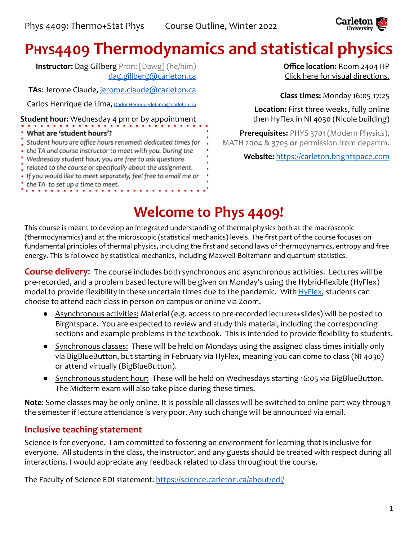

# **PHYS4409 Thermodynamics and statistical physics**

**Instructor:** Dag Gillberg Pron: [Dawg] (he/him) [dag.gillberg@carleton.ca](mailto:dag.gillberg@carleton.ca)

**TAs**: Jerome Claude, [jerome.claude@carleton.ca](mailto:jerome.claude@carleton.ca)

Carlos Henrique de Lima, [CarlosHenriquedeLima@carleton.ca](mailto:CarlosHenriquedeLima@cmail.carleton.ca)

**Student hour:** Wednesday 4 pm or by appointment

#### What are 'student hours'?

- Student hours are office hours renamed: dedicated times for
- the TA and course instructor to meet with you. During the
- Wednesday student hour, you are free to ask questions
- related to the course or specifically about the assignment.
- · If you would like to meet separately, feel free to email me or
- the TA to set up a time to meet.

**Office location:** Room 2404 HP [Click here for visual directions.](https://www.classfind.com/carleton/)

**Class times:** Monday 16:05-17:25

**Location:** First three weeks, fully online then HyFlex in NI 4030 (Nicole building)

**Prerequisites:** PHYS 3701 (Modern Physics), MATH 2004 & 3705 **or** permission from departm.

**Website:** <https://carleton.brightspace.com>

# **Welcome to Phys 4409!**

This course is meant to develop an integrated understanding of thermal physics both at the macroscopic (thermodynamics) and at the microscopic (statistical mechanics) levels. The first part of the course focuses on fundamental principles of thermal physics, including the first and second laws of thermodynamics, entropy and free energy. This is followed by statistical mechanics, including Maxwell-Boltzmann and quantum statistics.

**Course delivery**: The course includes both synchronous and asynchronous activities. Lectures will be pre-recorded, and a problem based lecture will be given on Monday's using the Hybrid-flexible (HyFlex) model to provide flexibility in these uncertain times due to the pandemic. With  $HyFlex$ , students can choose to attend each class in person on campus or online via Zoom.

- Asynchronous activities: Material (e.g. access to pre-recorded lectures+slides) will be posted to Birghtspace. You are expected to review and study this material, including the corresponding sections and example problems in the textbook. This is intended to provide flexibility to students.
- Synchronous classes: These will be held on Mondays using the assigned class times initially only via BigBlueButton, but starting in February via HyFlex, meaning you can come to class (NI 4030) or attend virtually (BigBlueButton).
- Synchronous student hour: These will be held on Wednesdays starting 16:05 via BigBlueButton. The Midterm exam will also take place during these times.

**Note**: Some classes may be only online. It is possible all classes will be switched to online part way through the semester if lecture attendance is very poor. Any such change will be announced via email.

# **Inclusive teaching statement**

Science is for everyone. I am committed to fostering an environment for learning that is inclusive for everyone. All students in the class, the instructor, and any guests should be treated with respect during all interactions. I would appreciate any feedback related to class throughout the course.

The Faculty of Science EDI statement: <https://science.carleton.ca/about/edi/>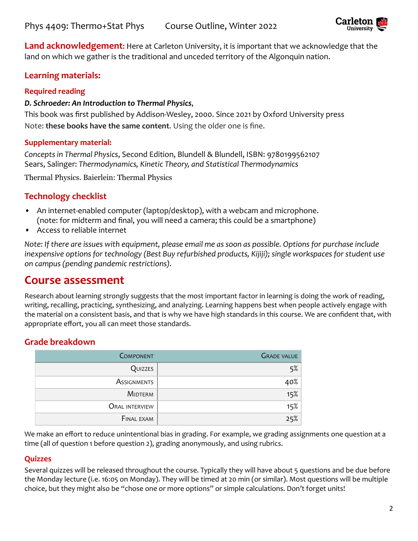

**Land acknowledgement**: Here at Carleton University, it is important that we acknowledge that the land on which we gather is the traditional and unceded territory of the Algonquin nation.

### **Learning materials:**

#### **Required reading**

#### *D. Schroeder: An Introduction to Thermal Physics*,

This book was first published by Addison-Wesley, 2000. Since 2021 by Oxford University press Note: **these books have the same content**. Using the older one is fine.

#### **Supplementary material:**

*Concepts in Thermal Physics*, Second Edition, Blundell & Blundell, ISBN: 9780199562107 Sears, Salinger: *Thermodynamics, Kinetic Theory, and Statistical Thermodynamics*

Thermal Physics. Baierlein: Thermal Physics

## **Technology checklist**

- *•* An internet-enabled computer (laptop/desktop), with a webcam and microphone. (note: for midterm and final, you will need a camera; this could be a smartphone)
- *•* Access to reliable internet

*Note: If there are issues with equipment, please email me as soon as possible. Options for purchase include inexpensive options for technology (Best Buy refurbished products, Kijiji); single workspaces for student use on campus (pending pandemic restrictions).*

# **Course assessment**

Research about learning strongly suggests that the most important factor in learning is doing the work of reading, writing, recalling, practicing, synthesizing, and analyzing. Learning happens best when people actively engage with the material on a consistent basis, and that is why we have high standards in this course. We are confident that, with appropriate effort, you all can meet those standards.

### **Grade breakdown**

| <b>COMPONENT</b>      | <b>GRADE VALUE</b> |
|-----------------------|--------------------|
| QUIZZES               | 5%                 |
| <b>ASSIGNMENTS</b>    | 40%                |
| <b>MIDTERM</b>        | 15%                |
| <b>ORAL INTERVIEW</b> | 15%                |
| <b>FINAL EXAM</b>     | 25%                |

We make an effort to reduce unintentional bias in grading. For example, we grading assignments one question at a time (all of question 1 before question 2), grading anonymously, and using rubrics.

#### **Quizzes**

Several quizzes will be released throughout the course. Typically they will have about 5 questions and be due before the Monday lecture (i.e. 16:05 on Monday). They will be timed at 20 min (or similar). Most questions will be multiple choice, but they might also be "chose one or more options" or simple calculations. Don't forget units!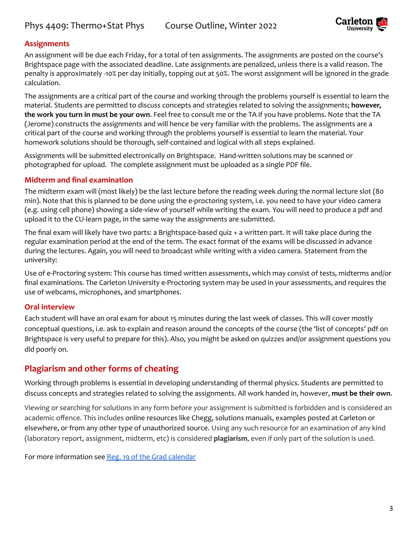

#### **Assignments**

An assignment will be due each Friday, for a total of ten assignments. The assignments are posted on the course's Brightspace page with the associated deadline. Late assignments are penalized, unless there is a valid reason. The penalty is approximately -10% per day initially, topping out at 50%. The worst assignment will be ignored in the grade calculation.

The assignments are a critical part of the course and working through the problems yourself is essential to learn the material. Students are permitted to discuss concepts and strategies related to solving the assignments; **however, the work you turn in must be your own**. Feel free to consult me or the TA if you have problems. Note that the TA (Jerome) constructs the assignments and will hence be very familiar with the problems. The assignments are a critical part of the course and working through the problems yourself is essential to learn the material. Your homework solutions should be thorough, self-contained and logical with all steps explained.

Assignments will be submitted electronically on Brightspace. Hand-written solutions may be scanned or photographed for upload. The complete assignment must be uploaded as a single PDF file.

#### **Midterm and final examination**

The midterm exam will (most likely) be the last lecture before the reading week during the normal lecture slot (80 min). Note that this is planned to be done using the e-proctoring system, i.e. you need to have your video camera (e.g. using cell phone) showing a side-view of yourself while writing the exam. You will need to produce a pdf and upload it to the CU-learn page, in the same way the assignments are submitted.

The final exam will likely have two parts: a Brightspace-based quiz + a written part. It will take place during the regular examination period at the end of the term. The exact format of the exams will be discussed in advance during the lectures. Again, you will need to broadcast while writing with a video camera. Statement from the university:

Use of e-Proctoring system: This course has timed written assessments, which may consist of tests, midterms and/or final examinations. The Carleton University e-Proctoring system may be used in your assessments, and requires the use of webcams, microphones, and smartphones.

#### **Oral interview**

Each student will have an oral exam for about 15 minutes during the last week of classes. This will cover mostly conceptual questions, i.e. ask to explain and reason around the concepts of the course (the 'list of concepts' pdf on Brightspace is very useful to prepare for this). Also, you might be asked on quizzes and/or assignment questions you did poorly on.

#### **Plagiarism and other forms of cheating**

Working through problems is essential in developing understanding of thermal physics. Students are permitted to discuss concepts and strategies related to solving the assignments. All work handed in, however, **must be their own**.

Viewing or searching for solutions in any form before your assignment is submitted is forbidden and is considered an academic offence. This includes online resources like Chegg, solutions manuals, examples posted at Carleton or elsewhere, or from any other type of unauthorized source. Using any such resource for an examination of any kind (laboratory report, assignment, midterm, etc) is considered **plagiarism**, even if only part of the solution is used.

For more information see Reg. 19 of the Grad [calendar](https://calendar.carleton.ca/grad/gradregulations/administrationoftheregulations/#19)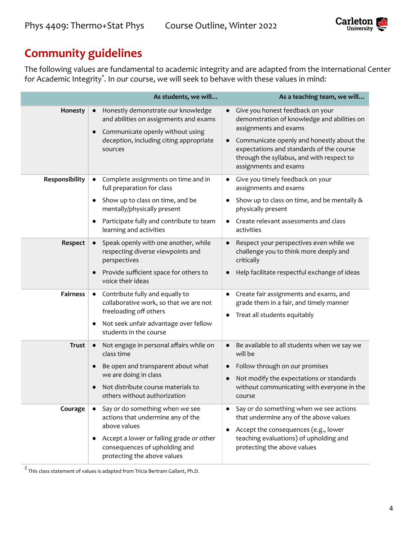

# **Community guidelines**

The following values are fundamental to academic integrity and are adapted from the International Center for Academic Integrity\* . In our course, we will seek to behave with these values in mind:

|                 | As students, we will                                                                                                                                                                                                                               | As a teaching team, we will                                                                                                                                                                                                                                                          |
|-----------------|----------------------------------------------------------------------------------------------------------------------------------------------------------------------------------------------------------------------------------------------------|--------------------------------------------------------------------------------------------------------------------------------------------------------------------------------------------------------------------------------------------------------------------------------------|
| Honesty         | Honestly demonstrate our knowledge<br>and abilities on assignments and exams<br>Communicate openly without using<br>$\bullet$<br>deception, including citing appropriate<br>sources                                                                | Give you honest feedback on your<br>demonstration of knowledge and abilities on<br>assignments and exams<br>Communicate openly and honestly about the<br>$\bullet$<br>expectations and standards of the course<br>through the syllabus, and with respect to<br>assignments and exams |
| Responsibility  | Complete assignments on time and in<br>$\bullet$<br>full preparation for class<br>Show up to class on time, and be<br>$\bullet$<br>mentally/physically present<br>Participate fully and contribute to team<br>$\bullet$<br>learning and activities | Give you timely feedback on your<br>$\bullet$<br>assignments and exams<br>Show up to class on time, and be mentally &<br>physically present<br>Create relevant assessments and class<br>$\bullet$<br>activities                                                                      |
| Respect         | Speak openly with one another, while<br>respecting diverse viewpoints and<br>perspectives<br>Provide sufficient space for others to<br>$\bullet$<br>voice their ideas                                                                              | Respect your perspectives even while we<br>$\bullet$<br>challenge you to think more deeply and<br>critically<br>Help facilitate respectful exchange of ideas                                                                                                                         |
| <b>Fairness</b> | Contribute fully and equally to<br>$\bullet$<br>collaborative work, so that we are not<br>freeloading off others<br>Not seek unfair advantage over fellow<br>$\bullet$<br>students in the course                                                   | Create fair assignments and exams, and<br>$\bullet$<br>grade them in a fair, and timely manner<br>Treat all students equitably<br>$\bullet$                                                                                                                                          |
| <b>Trust</b>    | Not engage in personal affairs while on<br>$\bullet$<br>class time<br>Be open and transparent about what<br>$\bullet$<br>we are doing in class<br>Not distribute course materials to<br>others without authorization                               | Be available to all students when we say we<br>will be<br>Follow through on our promises<br>Not modify the expectations or standards<br>without communicating with everyone in the<br>course                                                                                         |
| Courage         | Say or do something when we see<br>actions that undermine any of the<br>above values<br>Accept a lower or failing grade or other<br>consequences of upholding and<br>protecting the above values                                                   | Say or do something when we see actions<br>that undermine any of the above values<br>Accept the consequences (e.g., lower<br>$\bullet$<br>teaching evaluations) of upholding and<br>protecting the above values                                                                      |

 $^2$  This class statement of values is adapted from Tricia Bertram Gallant, Ph.D.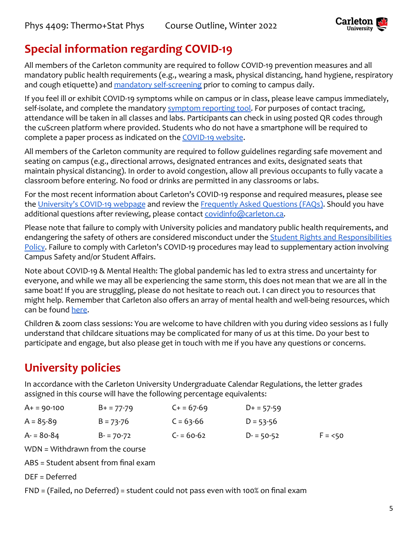

# **Special information regarding COVID-19**

All members of the Carleton community are required to follow COVID-19 prevention measures and all mandatory public health requirements (e.g., wearing a mask, physical distancing, hand hygiene, respiratory and cough etiquette) and [mandatory self-screening](https://carleton.ca/covid19/screening/) prior to coming to campus daily.

If you feel ill or exhibit COVID-19 symptoms while on campus or in class, please leave campus immediately, self-isolate, and complete the mandatory [symptom reporting](https://carleton.ca/covid19/covid-19-symptom-reporting/) tool. For purposes of contact tracing, attendance will be taken in all classes and labs. Participants can check in using posted QR codes through the cuScreen platform where provided. Students who do not have a smartphone will be required to complete a paper process as indicated on the [COVID-19](http://carleton.ca/covid19) website.

All members of the Carleton community are required to follow guidelines regarding safe movement and seating on campus (e.g., directional arrows, designated entrances and exits, designated seats that maintain physical distancing). In order to avoid congestion, allow all previous occupants to fully vacate a classroom before entering. No food or drinks are permitted in any classrooms or labs.

For the most recent information about Carleton's COVID-19 response and required measures, please see the [University's COVID-19 webpage](https://carleton.ca/covid19/) and review the Frequently [Asked Questions \(FAQs\)](https://carleton.ca/covid19/faq/). Should you have additional questions after reviewing, please contact [covidinfo@carleton.ca.](mailto:covidinfo@carleton.ca)

Please note that failure to comply with University policies and mandatory public health requirements, and endangering the safety of others are considered misconduct under the [Student Rights and Responsibilities](https://carleton.ca/studentaffairs/student-rights-and-responsibilities/) [Policy.](https://carleton.ca/studentaffairs/student-rights-and-responsibilities/) Failure to comply with Carleton's COVID-19 procedures may lead to supplementary action involving Campus Safety and/or Student Affairs.

Note about COVID-19 & Mental Health: The global pandemic has led to extra stress and uncertainty for everyone, and while we may all be experiencing the same storm, this does not mean that we are all in the same boat! If you are struggling, please do not hesitate to reach out. I can direct you to resources that might help. Remember that Carleton also offers an array of mental health and well-being resources, which can be found [here.](https://carleton.ca/wellness/)

Children & zoom class sessions: You are welcome to have children with you during video sessions as I fully understand that childcare situations may be complicated for many of us at this time. Do your best to participate and engage, but also please get in touch with me if you have any questions or concerns.

# **University policies**

In accordance with the Carleton University Undergraduate Calendar Regulations, the letter grades assigned in this course will have the following percentage equivalents:

| $A+ = 90-100$ | $B+ = 77-79$  | $C + 57-69$ | $D+ = 57-59$  |          |
|---------------|---------------|-------------|---------------|----------|
| $A = 85-89$   | $B = 73 - 76$ | $C = 63-66$ | $D = 53 - 56$ |          |
| $A = 80-84$   | $B = 70-72$   | $C = 60-62$ | $D = 50-52$   | $F = 50$ |

WDN = Withdrawn from the course

ABS = Student absent from final exam

DEF = Deferred

FND = (Failed, no Deferred) = student could not pass even with 100% on final exam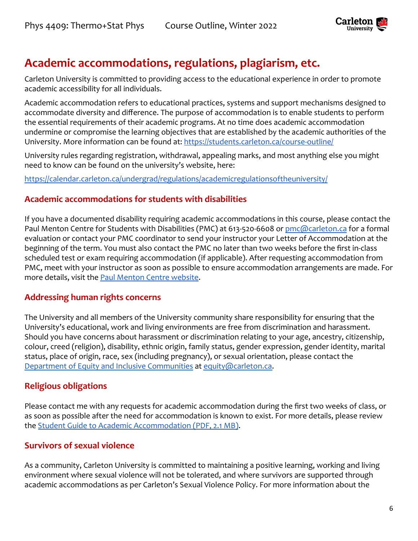

# **Academic accommodations, regulations, plagiarism, etc.**

Carleton University is committed to providing access to the educational experience in order to promote academic accessibility for all individuals.

Academic accommodation refers to educational practices, systems and support mechanisms designed to accommodate diversity and difference. The purpose of accommodation is to enable students to perform the essential requirements of their academic programs. At no time does academic accommodation undermine or compromise the learning objectives that are established by the academic authorities of the University. More information can be found at: <https://students.carleton.ca/course-outline/>

University rules regarding registration, withdrawal, appealing marks, and most anything else you might need to know can be found on the university's website, here:

<https://calendar.carleton.ca/undergrad/regulations/academicregulationsoftheuniversity/>

### **Academic accommodations for students with disabilities**

If you have a documented disability requiring academic accommodations in this course, please contact the Paul Menton Centre for Students with Disabilities (PMC) at 613-520-6608 or [pmc@carleton.ca](mailto:pmc@carleton.ca) for a formal evaluation or contact your PMC coordinator to send your instructor your Letter of Accommodation at the beginning of the term. You must also contact the PMC no later than two weeks before the first in-class scheduled test or exam requiring accommodation (if applicable). After requesting accommodation from PMC, meet with your instructor as soon as possible to ensure accommodation arrangements are made. For more details, visit the [Paul Menton Centre website](http://carleton.ca/pmc).

#### **Addressing human rights concerns**

The University and all members of the University community share responsibility for ensuring that the University's educational, work and living environments are free from discrimination and harassment. Should you have concerns about harassment or discrimination relating to your age, ancestry, citizenship, colour, creed (religion), disability, ethnic origin, family status, gender expression, gender identity, marital status, place of origin, race, sex (including pregnancy), or sexual orientation, please contact the [Department of Equity and Inclusive Communities](https://carleton.ca/equity/) at [equity@carleton.ca.](mailto:equity@carleton.ca)

### **Religious obligations**

Please contact me with any requests for academic accommodation during the first two weeks of class, or as soon as possible after the need for accommodation is known to exist. For more details, please review the [Student Guide to Academic Accommodation \(PDF,](https://carleton.ca/equity/wp-content/uploads/Student-Guide-to-Academic-Accommodation.pdf) 2.1 MB).

### **Survivors of sexual violence**

As a community, Carleton University is committed to maintaining a positive learning, working and living environment where sexual violence will not be tolerated, and where survivors are supported through academic accommodations as per Carleton's Sexual Violence Policy. For more information about the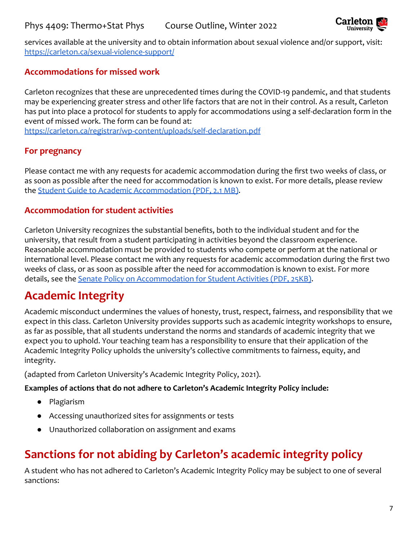

services available at the university and to obtain information about sexual violence and/or support, visit: <https://carleton.ca/sexual-violence-support/>

### **Accommodations for missed work**

Carleton recognizes that these are unprecedented times during the COVID-19 pandemic, and that students may be experiencing greater stress and other life factors that are not in their control. As a result, Carleton has put into place a protocol for students to apply for accommodations using a self-declaration form in the event of missed work. The form can be found at:

<https://carleton.ca/registrar/wp-content/uploads/self-declaration.pdf>

### **For pregnancy**

Please contact me with any requests for academic accommodation during the first two weeks of class, or as soon as possible after the need for accommodation is known to exist. For more details, please review the [Student Guide to Academic Accommodation \(PDF,](https://carleton.ca/equity/wp-content/uploads/Student-Guide-to-Academic-Accommodation.pdf) 2.1 MB).

### **Accommodation for student activities**

Carleton University recognizes the substantial benefits, both to the individual student and for the university, that result from a student participating in activities beyond the classroom experience. Reasonable accommodation must be provided to students who compete or perform at the national or international level. Please contact me with any requests for academic accommodation during the first two weeks of class, or as soon as possible after the need for accommodation is known to exist. For more details, see the [Senate Policy on Accommodation for](https://carleton.ca/senate/wp-content/uploads/Accommodation-for-Student-Activities-1.pdf) Student Activities (PDF, 25KB).

# **Academic Integrity**

Academic misconduct undermines the values of honesty, trust, respect, fairness, and responsibility that we expect in this class. Carleton University provides supports such as academic integrity workshops to ensure, as far as possible, that all students understand the norms and standards of academic integrity that we expect you to uphold. Your teaching team has a responsibility to ensure that their application of the Academic Integrity Policy upholds the university's collective commitments to fairness, equity, and integrity.

(adapted from Carleton University's Academic Integrity Policy, 2021).

#### **Examples of actions that do not adhere to Carleton's Academic Integrity Policy include:**

- Plagiarism
- Accessing unauthorized sites for assignments or tests
- Unauthorized collaboration on assignment and exams

# **Sanctions for not abiding by Carleton's academic integrity policy**

A student who has not adhered to Carleton's Academic Integrity Policy may be subject to one of several sanctions: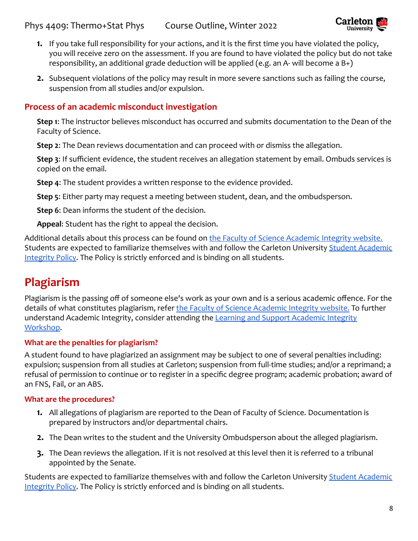

- **1.** If you take full responsibility for your actions, and it is the first time you have violated the policy, you will receive zero on the assessment. If you are found to have violated the policy but do not take responsibility, an additional grade deduction will be applied (e.g. an A- will become a B+)
- **2.** Subsequent violations of the policy may result in more severe sanctions such as failing the course, suspension from all studies and/or expulsion.

### **Process of an academic misconduct investigation**

**Step 1**: The instructor believes misconduct has occurred and submits documentation to the Dean of the Faculty of Science.

**Step 2**: The Dean reviews documentation and can proceed with or dismiss the allegation.

**Step 3**: If sufficient evidence, the student receives an allegation statement by email. Ombuds services is copied on the email.

**Step 4**: The student provides a written response to the evidence provided.

**Step 5**: Either party may request a meeting between student, dean, and the ombudsperson.

**Step 6**: Dean informs the student of the decision.

**Appeal**: Student has the right to appeal the decision.

Additional details about this process can be found on [the Faculty of Science Academic Integrity website.](https://science.carleton.ca/academic-integrity/) Students are expected to familiarize themselves with and follow the Carleton University [Student Academic](https://carleton.ca/registrar/academic-integrity/) [Integrity Policy.](https://carleton.ca/registrar/academic-integrity/) The Policy is strictly enforced and is binding on all students.

# **Plagiarism**

Plagiarism is the passing off of someone else's work as your own and is a serious academic offence. For the details of what constitutes plagiarism, refer the [Faculty of Science Academic Integrity website.](https://science.carleton.ca/academic-integrity/) To further understand Academic Integrity, consider attending the [Learning and Support Academic Integrity](https://carleton.ca/csas/learning-%20support-2/learning-support-workshops/) [Workshop](https://carleton.ca/csas/learning-%20support-2/learning-support-workshops/).

#### **What are the penalties for plagiarism?**

A student found to have plagiarized an assignment may be subject to one of several penalties including: expulsion; suspension from all studies at Carleton; suspension from full-time studies; and/or a reprimand; a refusal of permission to continue or to register in a specific degree program; academic probation; award of an FNS, Fail, or an ABS.

#### **What are the procedures?**

- **1.** All allegations of plagiarism are reported to the Dean of Faculty of Science. Documentation is prepared by instructors and/or departmental chairs.
- **2.** The Dean writes to the student and the University Ombudsperson about the alleged plagiarism.
- **3.** The Dean reviews the allegation. If it is not resolved at this level then it is referred to a tribunal appointed by the Senate.

Students are expected to familiarize themselves with and follow the Carleton University [Student Academic](https://carleton.ca/registrar/academic-integrity/) [Integrity Policy.](https://carleton.ca/registrar/academic-integrity/) The Policy is strictly enforced and is binding on all students.